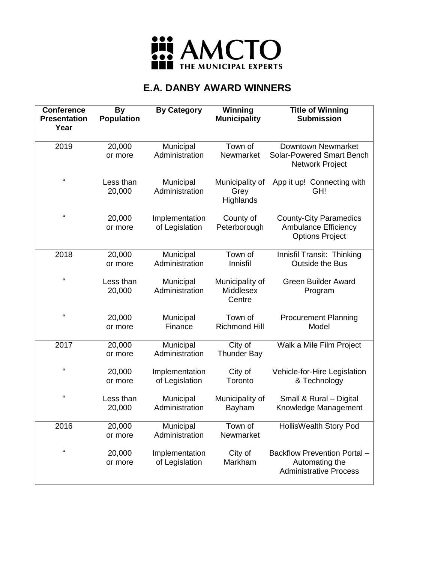

| <b>Conference</b><br><b>Presentation</b><br>Year | <b>By</b><br><b>Population</b> | <b>By Category</b>               | Winning<br><b>Municipality</b>                | <b>Title of Winning</b><br><b>Submission</b>                                           |
|--------------------------------------------------|--------------------------------|----------------------------------|-----------------------------------------------|----------------------------------------------------------------------------------------|
| 2019                                             | 20,000<br>or more              | Municipal<br>Administration      | Town of<br>Newmarket                          | <b>Downtown Newmarket</b><br><b>Solar-Powered Smart Bench</b><br>Network Project       |
| $\epsilon$                                       | Less than<br>20,000            | Municipal<br>Administration      | Municipality of<br>Grey<br>Highlands          | App it up! Connecting with<br>GH!                                                      |
| $\epsilon$                                       | 20,000<br>or more              | Implementation<br>of Legislation | County of<br>Peterborough                     | <b>County-City Paramedics</b><br><b>Ambulance Efficiency</b><br><b>Options Project</b> |
| 2018                                             | 20,000<br>or more              | Municipal<br>Administration      | Town of<br>Innisfil                           | Innisfil Transit: Thinking<br><b>Outside the Bus</b>                                   |
| $\epsilon$                                       | Less than<br>20,000            | Municipal<br>Administration      | Municipality of<br><b>Middlesex</b><br>Centre | <b>Green Builder Award</b><br>Program                                                  |
| $\epsilon$                                       | 20,000<br>or more              | Municipal<br>Finance             | Town of<br><b>Richmond Hill</b>               | <b>Procurement Planning</b><br>Model                                                   |
| 2017                                             | 20,000<br>or more              | Municipal<br>Administration      | City of<br><b>Thunder Bay</b>                 | Walk a Mile Film Project                                                               |
| $\epsilon\epsilon$                               | 20,000<br>or more              | Implementation<br>of Legislation | City of<br>Toronto                            | Vehicle-for-Hire Legislation<br>& Technology                                           |
| $\epsilon$                                       | Less than<br>20,000            | Municipal<br>Administration      | Municipality of<br>Bayham                     | Small & Rural - Digital<br>Knowledge Management                                        |
| 2016                                             | 20,000<br>or more              | Municipal<br>Administration      | Town of<br>Newmarket                          | HollisWealth Story Pod                                                                 |
| $\epsilon\epsilon$                               | 20,000<br>or more              | Implementation<br>of Legislation | City of<br>Markham                            | Backflow Prevention Portal -<br>Automating the<br><b>Administrative Process</b>        |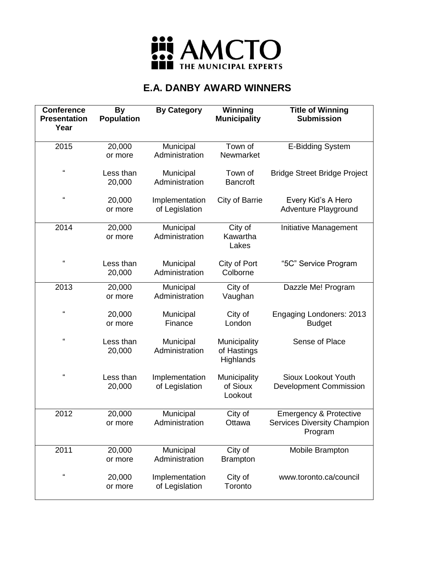

| <b>Conference</b><br><b>Presentation</b><br>Year | <b>By</b><br><b>Population</b> | <b>By Category</b>               | Winning<br><b>Municipality</b>           | <b>Title of Winning</b><br><b>Submission</b>                                       |
|--------------------------------------------------|--------------------------------|----------------------------------|------------------------------------------|------------------------------------------------------------------------------------|
|                                                  |                                |                                  |                                          |                                                                                    |
| 2015                                             | 20,000<br>or more              | Municipal<br>Administration      | Town of<br>Newmarket                     | <b>E-Bidding System</b>                                                            |
| $\epsilon$                                       | Less than<br>20,000            | Municipal<br>Administration      | Town of<br><b>Bancroft</b>               | <b>Bridge Street Bridge Project</b>                                                |
| $\mathfrak{c}\mathfrak{c}$                       | 20,000<br>or more              | Implementation<br>of Legislation | City of Barrie                           | Every Kid's A Hero<br>Adventure Playground                                         |
| 2014                                             | 20,000<br>or more              | Municipal<br>Administration      | City of<br>Kawartha<br>Lakes             | Initiative Management                                                              |
| $\epsilon\epsilon$                               | Less than<br>20,000            | Municipal<br>Administration      | City of Port<br>Colborne                 | "5C" Service Program                                                               |
| 2013                                             | 20,000<br>or more              | Municipal<br>Administration      | City of<br>Vaughan                       | Dazzle Me! Program                                                                 |
| $\pmb{\mathfrak{c}}$                             | 20,000<br>or more              | Municipal<br>Finance             | City of<br>London                        | Engaging Londoners: 2013<br><b>Budget</b>                                          |
| $\mathfrak{c}\mathfrak{c}$                       | Less than<br>20,000            | Municipal<br>Administration      | Municipality<br>of Hastings<br>Highlands | Sense of Place                                                                     |
| $\epsilon$                                       | Less than<br>20,000            | Implementation<br>of Legislation | Municipality<br>of Sioux<br>Lookout      | <b>Sioux Lookout Youth</b><br><b>Development Commission</b>                        |
| 2012                                             | 20,000<br>or more              | Municipal<br>Administration      | City of<br>Ottawa                        | <b>Emergency &amp; Protective</b><br><b>Services Diversity Champion</b><br>Program |
| 2011                                             | 20,000<br>or more              | Municipal<br>Administration      | City of<br><b>Brampton</b>               | Mobile Brampton                                                                    |
| $\epsilon$                                       | 20,000<br>or more              | Implementation<br>of Legislation | City of<br>Toronto                       | www.toronto.ca/council                                                             |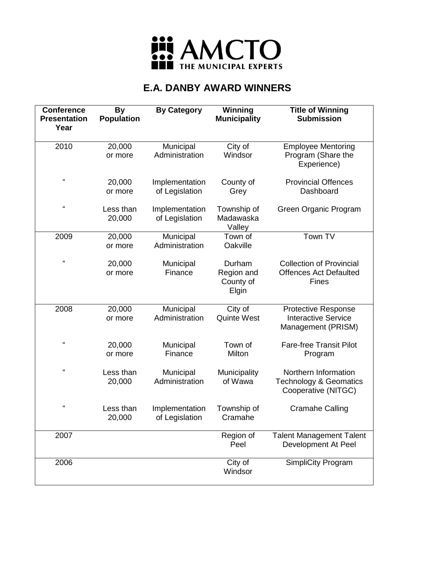

| <b>Conference</b><br><b>Presentation</b><br>Year | <b>By</b><br><b>Population</b> | <b>By Category</b>               | Winning<br><b>Municipality</b>             | <b>Title of Winning</b><br><b>Submission</b>                                     |
|--------------------------------------------------|--------------------------------|----------------------------------|--------------------------------------------|----------------------------------------------------------------------------------|
| 2010                                             | 20,000<br>or more              | Municipal<br>Administration      | City of<br>Windsor                         | <b>Employee Mentoring</b><br>Program (Share the<br>Experience)                   |
| $\epsilon$                                       | 20,000<br>or more              | Implementation<br>of Legislation | County of<br>Grey                          | <b>Provincial Offences</b><br>Dashboard                                          |
| $\epsilon$                                       | Less than<br>20,000            | Implementation<br>of Legislation | Township of<br>Madawaska<br>Valley         | Green Organic Program                                                            |
| 2009                                             | 20,000<br>or more              | Municipal<br>Administration      | Town of<br>Oakville                        | Town TV                                                                          |
| $\epsilon\epsilon$                               | 20,000<br>or more              | Municipal<br>Finance             | Durham<br>Region and<br>County of<br>Elgin | <b>Collection of Provincial</b><br><b>Offences Act Defaulted</b><br>Fines        |
| 2008                                             | 20,000<br>or more              | Municipal<br>Administration      | City of<br><b>Quinte West</b>              | <b>Protective Response</b><br><b>Interactive Service</b><br>Management (PRISM)   |
| $\epsilon$                                       | 20,000<br>or more              | Municipal<br>Finance             | Town of<br>Milton                          | <b>Fare-free Transit Pilot</b><br>Program                                        |
| $\mathfrak{c}\mathfrak{c}$                       | Less than<br>20,000            | Municipal<br>Administration      | Municipality<br>of Wawa                    | Northern Information<br><b>Technology &amp; Geomatics</b><br>Cooperative (NITGC) |
| $\epsilon$                                       | Less than<br>20,000            | Implementation<br>of Legislation | Township of<br>Cramahe                     | <b>Cramahe Calling</b>                                                           |
| 2007                                             |                                |                                  | Region of<br>Peel                          | <b>Talent Management Talent</b><br>Development At Peel                           |
| 2006                                             |                                |                                  | City of<br>Windsor                         | SimpliCity Program                                                               |